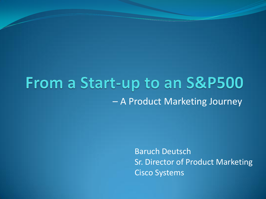# From a Start-up to an S&P500 – A Product Marketing Journey

Baruch Deutsch Sr. Director of Product Marketing Cisco Systems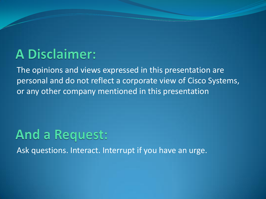#### **A Disclaimer:**

The opinions and views expressed in this presentation are personal and do not reflect a corporate view of Cisco Systems, or any other company mentioned in this presentation

#### **And a Request:**

Ask questions. Interact. Interrupt if you have an urge.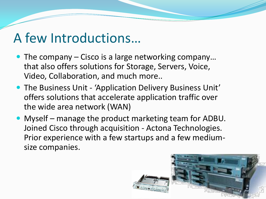#### A few Introductions…

- The company Cisco is a large networking company... that also offers solutions for Storage, Servers, Voice, Video, Collaboration, and much more..
- The Business Unit 'Application Delivery Business Unit' offers solutions that accelerate application traffic over the wide area network (WAN)
- Myself manage the product marketing team for ADBU. Joined Cisco through acquisition - Actona Technologies. Prior experience with a few startups and a few mediumsize companies.

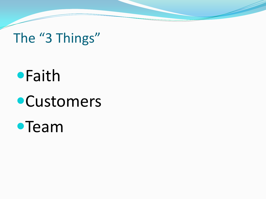# The "3 Things"

# **•**Faith **•Customers**

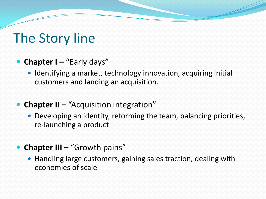### The Story line

- **Chapter I** "Early days"
	- Identifying a market, technology innovation, acquiring initial customers and landing an acquisition.
- **Chapter II "Acquisition integration"** 
	- Developing an identity, reforming the team, balancing priorities, re-launching a product
- **Chapter III "Growth pains"** 
	- Handling large customers, gaining sales traction, dealing with economies of scale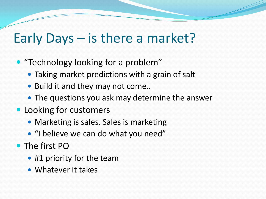### Early Days – is there a market?

- "Technology looking for a problem"
	- Taking market predictions with a grain of salt
	- Build it and they may not come..
	- The questions you ask may determine the answer
- Looking for customers
	- Marketing is sales. Sales is marketing
	- "I believe we can do what you need"
- The first PO
	- #1 priority for the team
	- Whatever it takes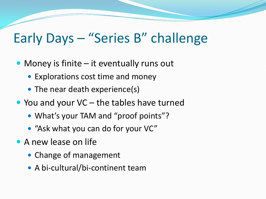#### Early Days – "Series B" challenge

- Money is finite it eventually runs out
	- Explorations cost time and money
	- The near death experience(s)
- You and your VC the tables have turned
	- What's your TAM and "proof points"?
	- "Ask what you can do for your VC"
- A new lease on life
	- Change of management
	- A bi-cultural/bi-continent team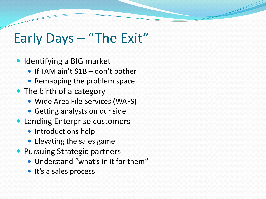## Early Days – "The Exit"

- Identifying a BIG market
	- If TAM ain't \$1B don't bother
	- Remapping the problem space
- The birth of a category
	- Wide Area File Services (WAFS)
	- Getting analysts on our side
- Landing Enterprise customers
	- Introductions help
	- Elevating the sales game
- **Pursuing Strategic partners** 
	- Understand "what's in it for them"
	- It's a sales process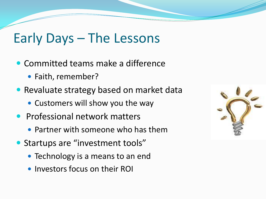### Early Days – The Lessons

- Committed teams make a difference
	- Faith, remember?
- Revaluate strategy based on market data
	- Customers will show you the way
- **Professional network matters** 
	- Partner with someone who has them
- Startups are "investment tools"
	- Technology is a means to an end
	- Investors focus on their ROI

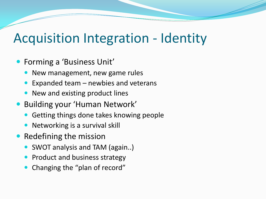#### Acquisition Integration - Identity

- Forming a 'Business Unit'
	- New management, new game rules
	- Expanded team newbies and veterans
	- New and existing product lines
- Building your 'Human Network'
	- Getting things done takes knowing people
	- Networking is a survival skill
- Redefining the mission
	- SWOT analysis and TAM (again..)
	- Product and business strategy
	- Changing the "plan of record"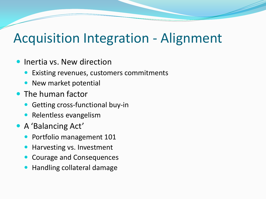### Acquisition Integration - Alignment

- Inertia vs. New direction
	- Existing revenues, customers commitments
	- New market potential
- The human factor
	- Getting cross-functional buy-in
	- **Relentless evangelism**
- A 'Balancing Act'
	- Portfolio management 101
	- Harvesting vs. Investment
	- Courage and Consequences
	- Handling collateral damage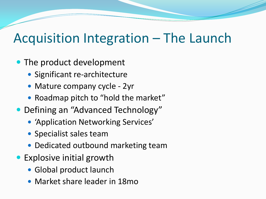### Acquisition Integration – The Launch

#### • The product development

- Significant re-architecture
- Mature company cycle 2yr
- Roadmap pitch to "hold the market"
- Defining an "Advanced Technology"
	- 'Application Networking Services'
	- Specialist sales team
	- Dedicated outbound marketing team
- Explosive initial growth
	- Global product launch
	- Market share leader in 18mo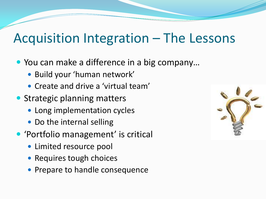### Acquisition Integration – The Lessons

- You can make a difference in a big company...
	- Build your 'human network'
	- Create and drive a 'virtual team'
- Strategic planning matters
	- Long implementation cycles
	- Do the internal selling
- 'Portfolio management' is critical
	- Limited resource pool
	- Requires tough choices
	- Prepare to handle consequence

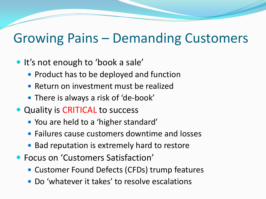#### Growing Pains – Demanding Customers

- It's not enough to 'book a sale'
	- Product has to be deployed and function
	- Return on investment must be realized
	- There is always a risk of 'de-book'
- Quality is CRITICAL to success
	- You are held to a 'higher standard'
	- Failures cause customers downtime and losses
	- Bad reputation is extremely hard to restore
- Focus on 'Customers Satisfaction'
	- Customer Found Defects (CFDs) trump features
	- Do 'whatever it takes' to resolve escalations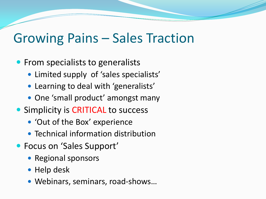#### Growing Pains – Sales Traction

- From specialists to generalists
	- Limited supply of 'sales specialists'
	- Learning to deal with 'generalists'
	- One 'small product' amongst many
- Simplicity is CRITICAL to success
	- 'Out of the Box' experience
	- Technical information distribution
- Focus on 'Sales Support'
	- Regional sponsors
	- Help desk
	- Webinars, seminars, road-shows…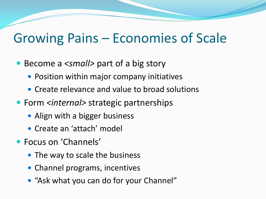#### Growing Pains – Economies of Scale

- Become a <small> part of a big story
	- Position within major company initiatives
	- Create relevance and value to broad solutions
- Form *<internal>* strategic partnerships
	- Align with a bigger business
	- Create an 'attach' model
- Focus on 'Channels'
	- The way to scale the business
	- Channel programs, incentives
	- "Ask what you can do for your Channel"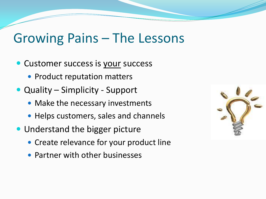#### Growing Pains – The Lessons

- Customer success is your success
	- Product reputation matters
- Quality Simplicity Support
	- Make the necessary investments
	- Helps customers, sales and channels
- Understand the bigger picture
	- Create relevance for your product line
	- Partner with other businesses

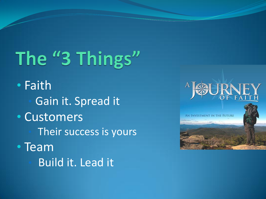# The "3 Things"

• Faith Gain it. Spread it • Customers Their success is yours • Team • Build it. Lead it